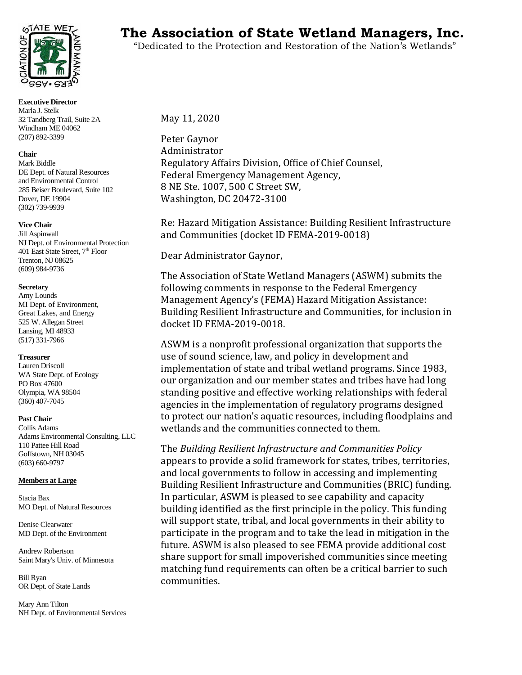

**Executive Director**  Marla J. Stelk 32 Tandberg Trail, Suite 2A Windham ME 04062 (207) 892-3399

# **Chair**

Mark Biddle DE Dept. of Natural Resources and Environmental Control 285 Beiser Boulevard, Suite 102 Dover, DE 19904 (302) 739-9939

# **Vice Chair**

Jill Aspinwall NJ Dept. of Environmental Protection 401 East State Street, 7<sup>th</sup> Floor Trenton, NJ 08625 (609) 984-9736

# **Secretary**

Amy Lounds MI Dept. of Environment, Great Lakes, and Energy 525 W. Allegan Street Lansing, MI 48933 (517) 331-7966

#### **Treasurer**

Lauren Driscoll WA State Dept. of Ecology PO Box 47600 Olympia, WA 98504 (360) 407-7045

#### **Past Chair**

Collis Adams Adams Environmental Consulting, LLC 110 Pattee Hill Road Goffstown, NH 03045 (603) 660-9797

# **Members at Large**

Stacia Bax MO Dept. of Natural Resources

Denise Clearwater MD Dept. of the Environment

Andrew Robertson Saint Mary's Univ. of Minnesota

Bill Ryan OR Dept. of State Lands

Mary Ann Tilton NH Dept. of Environmental Services

# **The Association of State Wetland Managers, Inc.**

"Dedicated to the Protection and Restoration of the Nation's Wetlands"

May 11, 2020

Peter Gaynor Administrator Regulatory Affairs Division, Office of Chief Counsel, Federal Emergency Management Agency, 8 NE Ste. 1007, 500 C Street SW, Washington, DC 20472-3100

Re: Hazard Mitigation Assistance: Building Resilient Infrastructure and Communities (docket ID FEMA-2019-0018)

Dear Administrator Gaynor,

The Association of State Wetland Managers (ASWM) submits the following comments in response to the Federal Emergency Management Agency's (FEMA) Hazard Mitigation Assistance: Building Resilient Infrastructure and Communities, for inclusion in docket ID FEMA-2019-0018.

ASWM is a nonprofit professional organization that supports the use of sound science, law, and policy in development and implementation of state and tribal wetland programs. Since 1983, our organization and our member states and tribes have had long standing positive and effective working relationships with federal agencies in the implementation of regulatory programs designed to protect our nation's aquatic resources, including floodplains and wetlands and the communities connected to them.

The *Building Resilient Infrastructure and Communities Policy* appears to provide a solid framework for states, tribes, territories, and local governments to follow in accessing and implementing Building Resilient Infrastructure and Communities (BRIC) funding. In particular, ASWM is pleased to see capability and capacity building identified as the first principle in the policy. This funding will support state, tribal, and local governments in their ability to participate in the program and to take the lead in mitigation in the future. ASWM is also pleased to see FEMA provide additional cost share support for small impoverished communities since meeting matching fund requirements can often be a critical barrier to such communities.